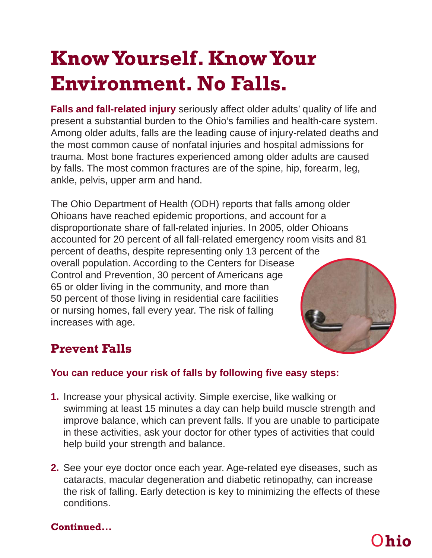# **Know Yourself. Know Your Environment. No Falls.**

**Falls and fall-related injury** seriously affect older adults' quality of life and present a substantial burden to the Ohio's families and health-care system. Among older adults, falls are the leading cause of injury-related deaths and the most common cause of nonfatal injuries and hospital admissions for trauma. Most bone fractures experienced among older adults are caused by falls. The most common fractures are of the spine, hip, forearm, leg, ankle, pelvis, upper arm and hand.

The Ohio Department of Health (ODH) reports that falls among older Ohioans have reached epidemic proportions, and account for a disproportionate share of fall-related injuries. In 2005, older Ohioans accounted for 20 percent of all fall-related emergency room visits and 81 percent of deaths, despite representing only 13 percent of the overall population. According to the Centers for Disease Control and Prevention, 30 percent of Americans age 65 or older living in the community, and more than 50 percent of those living in residential care facilities or nursing homes, fall every year. The risk of falling increases with age.



## **Prevent Falls**

#### **You can reduce your risk of falls by following five easy steps:**

- **1.** Increase your physical activity. Simple exercise, like walking or swimming at least 15 minutes a day can help build muscle strength and improve balance, which can prevent falls. If you are unable to participate in these activities, ask your doctor for other types of activities that could help build your strength and balance.
- **2.** See your eye doctor once each year. Age-related eye diseases, such as cataracts, macular degeneration and diabetic retinopathy, can increase the risk of falling. Early detection is key to minimizing the effects of these conditions.

#### **Continued...**

# O**hio**